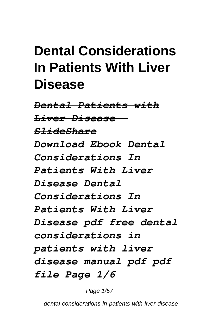## **Dental Considerations In Patients With Liver Disease**

*Dental Patients with Liver Disease - SlideShare Download Ebook Dental Considerations In Patients With Liver Disease Dental Considerations In Patients With Liver Disease pdf free dental considerations in patients with liver disease manual pdf pdf file Page 1/6*

Page 1/57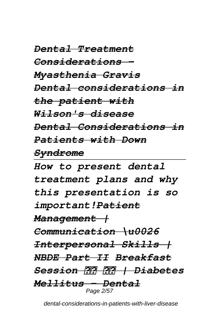*Dental Treatment Considerations - Myasthenia Gravis Dental considerations in the patient with Wilson's disease Dental Considerations in Patients with Down Syndrome How to present dental treatment plans and why*

*this presentation is so important!Patient Management | Communication \u0026 Interpersonal Skills | NBDE Part II Breakfast Session | Diabetes Mellitus - Dental* Page 2/57

dental-considerations-in-patients-with-liver-disease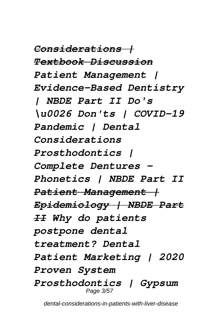*Considerations | Textbook Discussion Patient Management | Evidence-Based Dentistry | NBDE Part II Do's \u0026 Don'ts | COVID-19 Pandemic | Dental Considerations Prosthodontics | Complete Dentures - Phonetics | NBDE Part II Patient Management | Epidemiology | NBDE Part II Why do patients postpone dental treatment? Dental Patient Marketing | 2020 Proven System Prosthodontics | Gypsum* Page 3/57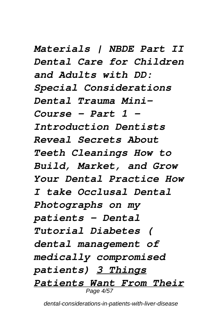*Materials | NBDE Part II Dental Care for Children and Adults with DD: Special Considerations Dental Trauma Mini-Course - Part 1 - Introduction Dentists Reveal Secrets About Teeth Cleanings How to Build, Market, and Grow Your Dental Practice How I take Occlusal Dental Photographs on my patients - Dental Tutorial Diabetes ( dental management of medically compromised patients) 3 Things Patients Want From Their* Page 4/57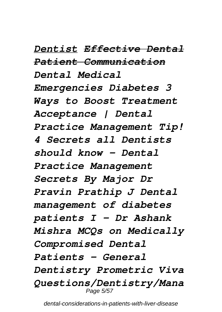*Dentist Effective Dental Patient Communication Dental Medical Emergencies Diabetes 3 Ways to Boost Treatment Acceptance | Dental Practice Management Tip! 4 Secrets all Dentists should know - Dental Practice Management Secrets By Major Dr Pravin Prathip J Dental management of diabetes patients I - Dr Ashank Mishra MCQs on Medically Compromised Dental Patients - General Dentistry Prometric Viva Questions/Dentistry/Mana* Page 5/57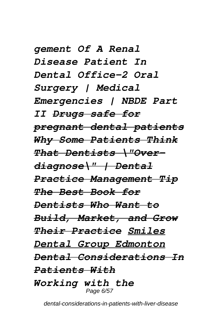*gement Of A Renal Disease Patient In Dental Office-2 Oral Surgery | Medical Emergencies | NBDE Part II Drugs safe for pregnant dental patients Why Some Patients Think That Dentists \"Overdiagnose\" | Dental Practice Management Tip The Best Book for Dentists Who Want to Build, Market, and Grow Their Practice Smiles Dental Group Edmonton Dental Considerations In Patients With Working with the* Page 6/57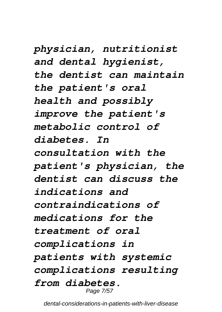*physician, nutritionist and dental hygienist, the dentist can maintain the patient's oral health and possibly improve the patient's metabolic control of diabetes. In consultation with the patient's physician, the dentist can discuss the indications and contraindications of medications for the treatment of oral complications in patients with systemic complications resulting from diabetes.* Page 7/57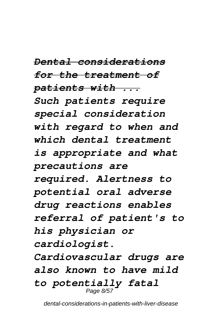*Dental considerations for the treatment of patients with ... Such patients require special consideration with regard to when and which dental treatment is appropriate and what precautions are required. Alertness to potential oral adverse drug reactions enables referral of patient's to his physician or cardiologist. Cardiovascular drugs are also known to have mild to potentially fatal* Page 8/57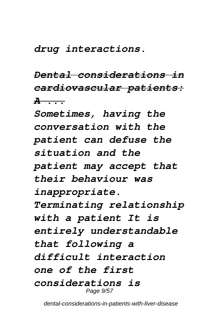*drug interactions.*

*Dental considerations in cardiovascular patients: A ...*

*Sometimes, having the conversation with the patient can defuse the situation and the patient may accept that their behaviour was inappropriate. Terminating relationship with a patient It is entirely understandable that following a difficult interaction one of the first considerations is* Page 9/57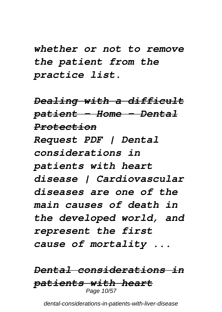*whether or not to remove the patient from the practice list.*

*Dealing with a difficult patient - Home - Dental Protection Request PDF | Dental considerations in patients with heart disease | Cardiovascular diseases are one of the main causes of death in the developed world, and represent the first cause of mortality ...*

#### *Dental considerations in patients with heart* Page 10/57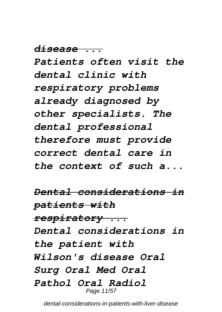*disease ...*

*Patients often visit the dental clinic with respiratory problems already diagnosed by other specialists. The dental professional therefore must provide correct dental care in the context of such a...*

*Dental considerations in patients with respiratory ... Dental considerations in the patient with Wilson's disease Oral Surg Oral Med Oral Pathol Oral Radiol* Page 11/57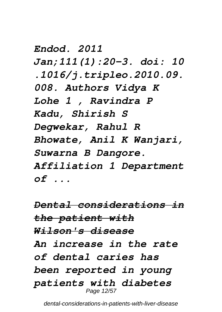*Endod. 2011 Jan;111(1):20-3. doi: 10 .1016/j.tripleo.2010.09. 008. Authors Vidya K Lohe 1 , Ravindra P Kadu, Shirish S Degwekar, Rahul R Bhowate, Anil K Wanjari, Suwarna B Dangore. Affiliation 1 Department of ...*

*Dental considerations in the patient with Wilson's disease An increase in the rate of dental caries has been reported in young patients with diabetes* Page 12/57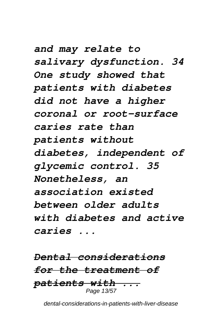*and may relate to salivary dysfunction. 34 One study showed that patients with diabetes did not have a higher coronal or root-surface caries rate than patients without diabetes, independent of glycemic control. 35 Nonetheless, an association existed between older adults with diabetes and active caries ...*

*Dental considerations for the treatment of patients with ...* Page 13/57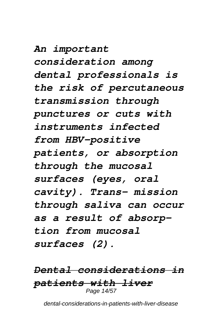*An important consideration among dental professionals is the risk of percutaneous transmission through punctures or cuts with instruments infected from HBV-positive patients, or absorption through the mucosal surfaces (eyes, oral cavity). Trans- mission through saliva can occur as a result of absorption from mucosal surfaces (2).*

*Dental considerations in patients with liver* Page 14/57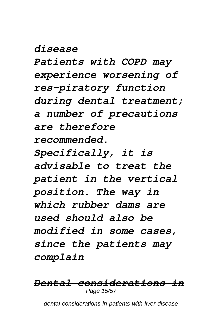*disease*

*Patients with COPD may experience worsening of res-piratory function during dental treatment; a number of precautions are therefore recommended. Specifically, it is advisable to treat the patient in the vertical position. The way in which rubber dams are*

*used should also be modified in some cases, since the patients may complain*

#### *Dental considerations in* Page 15/57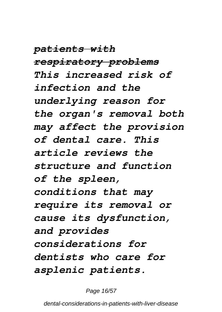*patients with respiratory problems This increased risk of infection and the underlying reason for the organ's removal both may affect the provision of dental care. This article reviews the structure and function of the spleen, conditions that may require its removal or cause its dysfunction, and provides considerations for dentists who care for asplenic patients.*

Page 16/57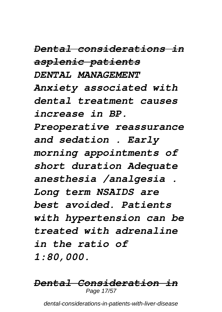*Dental considerations in asplenic patients DENTAL MANAGEMENT Anxiety associated with dental treatment causes increase in BP. Preoperative reassurance and sedation . Early morning appointments of short duration Adequate anesthesia /analgesia . Long term NSAIDS are best avoided. Patients with hypertension can be treated with adrenaline in the ratio of 1:80,000.*

#### *Dental Consideration in* Page 17/57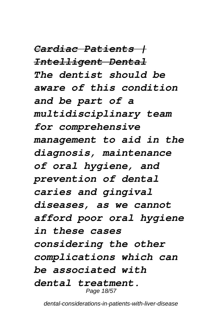*Cardiac Patients | Intelligent Dental The dentist should be aware of this condition and be part of a multidisciplinary team for comprehensive management to aid in the diagnosis, maintenance of oral hygiene, and prevention of dental caries and gingival diseases, as we cannot afford poor oral hygiene in these cases considering the other complications which can be associated with dental treatment.* Page 18/57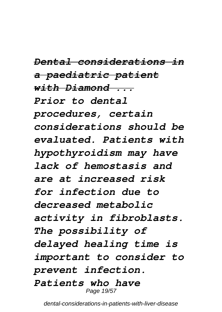*Dental considerations in a paediatric patient with Diamond ... Prior to dental procedures, certain considerations should be evaluated. Patients with hypothyroidism may have lack of hemostasis and are at increased risk for infection due to decreased metabolic activity in fibroblasts. The possibility of delayed healing time is important to consider to prevent infection. Patients who have* Page 19/57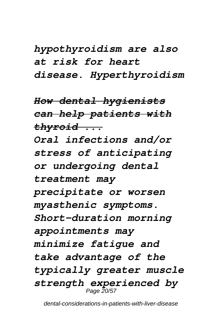*hypothyroidism are also at risk for heart disease. Hyperthyroidism*

*How dental hygienists can help patients with thyroid ...*

*Oral infections and/or stress of anticipating or undergoing dental treatment may precipitate or worsen myasthenic symptoms. Short-duration morning appointments may minimize fatigue and take advantage of the typically greater muscle strength experienced by* Page 20/57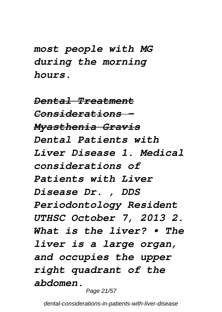*most people with MG during the morning hours.*

*Dental Treatment Considerations - Myasthenia Gravis Dental Patients with Liver Disease 1. Medical considerations of Patients with Liver Disease Dr. , DDS Periodontology Resident UTHSC October 7, 2013 2. What is the liver? • The liver is a large organ, and occupies the upper right quadrant of the abdomen.*

Page 21/57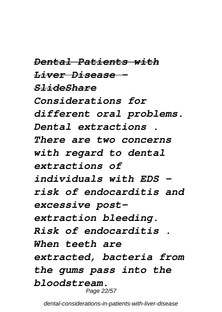*Dental Patients with Liver Disease - SlideShare Considerations for different oral problems. Dental extractions . There are two concerns with regard to dental extractions of individuals with EDS – risk of endocarditis and excessive postextraction bleeding. Risk of endocarditis . When teeth are extracted, bacteria from the gums pass into the bloodstream.* Page 22/57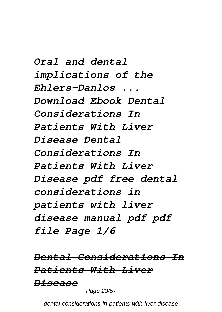*Oral and dental implications of the Ehlers-Danlos ... Download Ebook Dental Considerations In Patients With Liver Disease Dental Considerations In Patients With Liver Disease pdf free dental considerations in patients with liver disease manual pdf pdf file Page 1/6*

*Dental Considerations In Patients With Liver Disease*

Page 23/57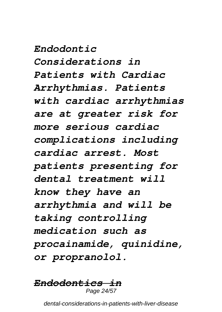*Endodontic*

*Considerations in*

*Patients with Cardiac Arrhythmias. Patients with cardiac arrhythmias are at greater risk for more serious cardiac complications including cardiac arrest. Most patients presenting for dental treatment will know they have an arrhythmia and will be taking controlling medication such as procainamide, quinidine, or propranolol.*

#### *Endodontics in* Page 24/57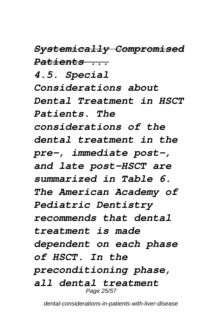*Systemically Compromised Patients ...*

*4.5. Special Considerations about Dental Treatment in HSCT Patients. The considerations of the dental treatment in the pre-, immediate post-, and late post-HSCT are summarized in Table 6. The American Academy of Pediatric Dentistry recommends that dental treatment is made dependent on each phase of HSCT. In the preconditioning phase, all dental treatment* Page 25/57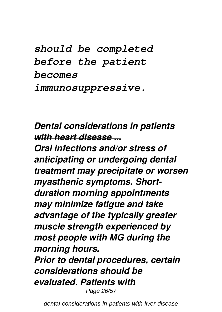*should be completed before the patient becomes immunosuppressive.*

#### *Dental considerations in patients with heart disease ...*

*Oral infections and/or stress of anticipating or undergoing dental treatment may precipitate or worsen myasthenic symptoms. Shortduration morning appointments may minimize fatigue and take advantage of the typically greater muscle strength experienced by most people with MG during the morning hours.*

*Prior to dental procedures, certain considerations should be evaluated. Patients with* Page 26/57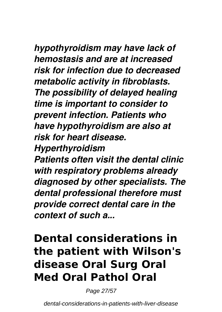*hypothyroidism may have lack of hemostasis and are at increased risk for infection due to decreased metabolic activity in fibroblasts. The possibility of delayed healing time is important to consider to prevent infection. Patients who have hypothyroidism are also at risk for heart disease.*

*Hyperthyroidism*

*Patients often visit the dental clinic with respiratory problems already diagnosed by other specialists. The dental professional therefore must provide correct dental care in the context of such a...*

## **Dental considerations in the patient with Wilson's disease Oral Surg Oral Med Oral Pathol Oral**

Page 27/57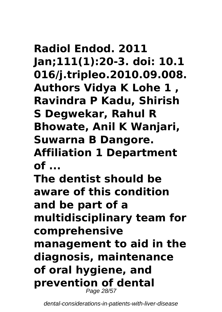## **Radiol Endod. 2011 Jan;111(1):20-3. doi: 10.1 016/j.tripleo.2010.09.008. Authors Vidya K Lohe 1 , Ravindra P Kadu, Shirish S Degwekar, Rahul R Bhowate, Anil K Wanjari, Suwarna B Dangore. Affiliation 1 Department of ...**

**The dentist should be aware of this condition and be part of a multidisciplinary team for comprehensive management to aid in the diagnosis, maintenance of oral hygiene, and prevention of dental** Page 28/57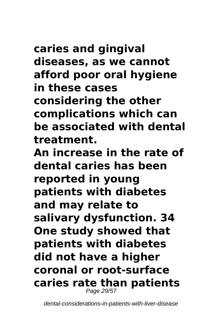## **caries and gingival diseases, as we cannot afford poor oral hygiene in these cases considering the other complications which can be associated with dental treatment.**

**An increase in the rate of dental caries has been reported in young patients with diabetes and may relate to salivary dysfunction. 34 One study showed that patients with diabetes did not have a higher coronal or root-surface caries rate than patients** Page 29/57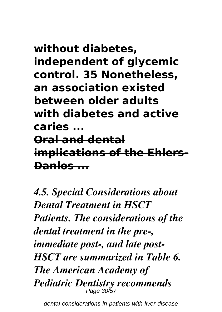## **without diabetes, independent of glycemic control. 35 Nonetheless, an association existed between older adults with diabetes and active caries ... Oral and dental implications of the Ehlers-Danlos ...**

*4.5. Special Considerations about Dental Treatment in HSCT Patients. The considerations of the dental treatment in the pre-, immediate post-, and late post-HSCT are summarized in Table 6. The American Academy of Pediatric Dentistry recommends* Page 30/57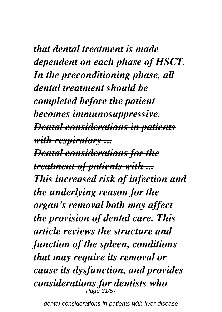*that dental treatment is made dependent on each phase of HSCT. In the preconditioning phase, all dental treatment should be completed before the patient becomes immunosuppressive. Dental considerations in patients with respiratory ... Dental considerations for the treatment of patients with ... This increased risk of infection and the underlying reason for the organ's removal both may affect the provision of dental care. This article reviews the structure and function of the spleen, conditions that may require its removal or cause its dysfunction, and provides considerations for dentists who* Page 31/57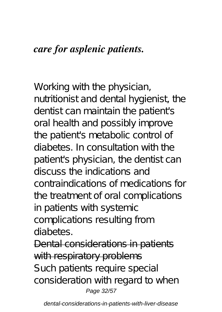#### *care for asplenic patients.*

Working with the physician, nutritionist and dental hygienist, the dentist can maintain the patient's oral health and possibly improve the patient's metabolic control of diabetes. In consultation with the patient's physician, the dentist can discuss the indications and contraindications of medications for the treatment of oral complications in patients with systemic complications resulting from diabetes.

Dental considerations in patients with respiratory problems Such patients require special consideration with regard to when Page 32/57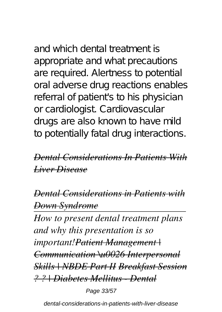# and which dental treatment is

appropriate and what precautions are required. Alertness to potential oral adverse drug reactions enables referral of patient's to his physician or cardiologist. Cardiovascular drugs are also known to have mild to potentially fatal drug interactions.

#### *Dental Considerations In Patients With Liver Disease*

*Dental Considerations in Patients with Down Syndrome*

*How to present dental treatment plans and why this presentation is so important!Patient Management | Communication \u0026 Interpersonal Skills | NBDE Part II Breakfast Session ? ? | Diabetes Mellitus - Dental*

Page 33/57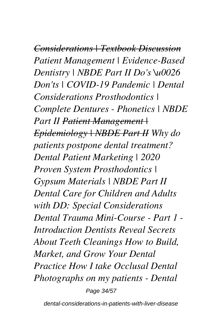*Considerations | Textbook Discussion Patient Management | Evidence-Based Dentistry | NBDE Part II Do's \u0026 Don'ts | COVID-19 Pandemic | Dental Considerations Prosthodontics | Complete Dentures - Phonetics | NBDE Part II Patient Management | Epidemiology | NBDE Part II Why do patients postpone dental treatment? Dental Patient Marketing | 2020 Proven System Prosthodontics | Gypsum Materials | NBDE Part II Dental Care for Children and Adults with DD: Special Considerations Dental Trauma Mini-Course - Part 1 - Introduction Dentists Reveal Secrets About Teeth Cleanings How to Build, Market, and Grow Your Dental Practice How I take Occlusal Dental Photographs on my patients - Dental*

Page 34/57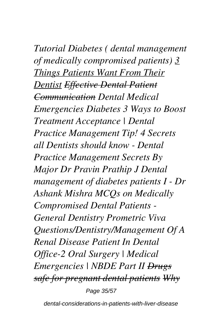*Tutorial Diabetes ( dental management of medically compromised patients) 3 Things Patients Want From Their Dentist Effective Dental Patient Communication Dental Medical Emergencies Diabetes 3 Ways to Boost Treatment Acceptance | Dental Practice Management Tip! 4 Secrets all Dentists should know - Dental Practice Management Secrets By Major Dr Pravin Prathip J Dental management of diabetes patients I - Dr Ashank Mishra MCQs on Medically Compromised Dental Patients - General Dentistry Prometric Viva Questions/Dentistry/Management Of A Renal Disease Patient In Dental Office-2 Oral Surgery | Medical Emergencies | NBDE Part II Drugs safe for pregnant dental patients Why* Page 35/57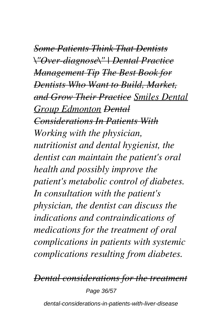*Some Patients Think That Dentists \"Over-diagnose\" | Dental Practice Management Tip The Best Book for Dentists Who Want to Build, Market, and Grow Their Practice Smiles Dental Group Edmonton Dental Considerations In Patients With Working with the physician, nutritionist and dental hygienist, the dentist can maintain the patient's oral health and possibly improve the patient's metabolic control of diabetes. In consultation with the patient's physician, the dentist can discuss the indications and contraindications of medications for the treatment of oral complications in patients with systemic complications resulting from diabetes.*

*Dental considerations for the treatment*

Page 36/57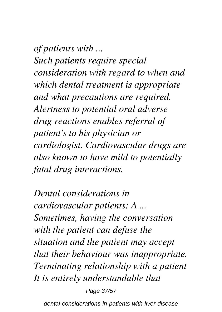*of patients with ...*

*Such patients require special consideration with regard to when and which dental treatment is appropriate and what precautions are required. Alertness to potential oral adverse drug reactions enables referral of patient's to his physician or cardiologist. Cardiovascular drugs are also known to have mild to potentially fatal drug interactions.*

*Dental considerations in cardiovascular patients: A ... Sometimes, having the conversation with the patient can defuse the situation and the patient may accept that their behaviour was inappropriate. Terminating relationship with a patient It is entirely understandable that*

Page 37/57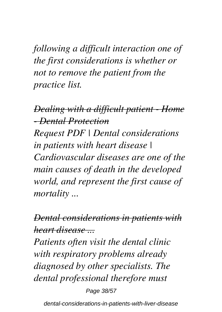*following a difficult interaction one of the first considerations is whether or not to remove the patient from the practice list.*

*Dealing with a difficult patient - Home - Dental Protection Request PDF | Dental considerations in patients with heart disease | Cardiovascular diseases are one of the main causes of death in the developed world, and represent the first cause of mortality ...*

*Dental considerations in patients with heart disease ...*

*Patients often visit the dental clinic with respiratory problems already diagnosed by other specialists. The dental professional therefore must*

Page 38/57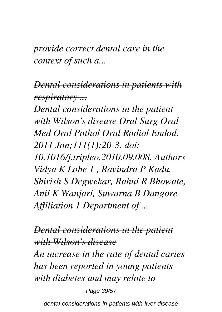*provide correct dental care in the context of such a...*

*Dental considerations in patients with respiratory ...*

*Dental considerations in the patient with Wilson's disease Oral Surg Oral Med Oral Pathol Oral Radiol Endod. 2011 Jan;111(1):20-3. doi: 10.1016/j.tripleo.2010.09.008. Authors Vidya K Lohe 1 , Ravindra P Kadu, Shirish S Degwekar, Rahul R Bhowate, Anil K Wanjari, Suwarna B Dangore. Affiliation 1 Department of ...*

*Dental considerations in the patient with Wilson's disease An increase in the rate of dental caries has been reported in young patients with diabetes and may relate to*

Page 39/57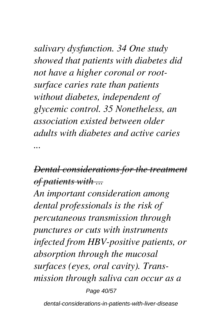*salivary dysfunction. 34 One study showed that patients with diabetes did not have a higher coronal or rootsurface caries rate than patients without diabetes, independent of glycemic control. 35 Nonetheless, an association existed between older adults with diabetes and active caries ...*

#### *Dental considerations for the treatment of patients with ...*

*An important consideration among dental professionals is the risk of percutaneous transmission through punctures or cuts with instruments infected from HBV-positive patients, or absorption through the mucosal surfaces (eyes, oral cavity). Transmission through saliva can occur as a*

Page 40/57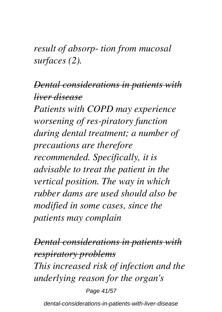*result of absorp- tion from mucosal surfaces (2).*

#### *Dental considerations in patients with liver disease*

*Patients with COPD may experience worsening of res-piratory function during dental treatment; a number of precautions are therefore recommended. Specifically, it is advisable to treat the patient in the vertical position. The way in which rubber dams are used should also be modified in some cases, since the patients may complain*

*Dental considerations in patients with respiratory problems This increased risk of infection and the underlying reason for the organ's*

Page 41/57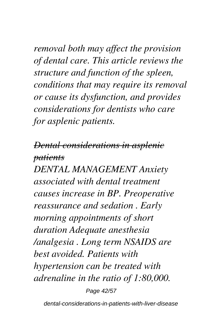*removal both may affect the provision of dental care. This article reviews the structure and function of the spleen, conditions that may require its removal or cause its dysfunction, and provides considerations for dentists who care for asplenic patients.*

#### *Dental considerations in asplenic patients*

*DENTAL MANAGEMENT Anxiety associated with dental treatment causes increase in BP. Preoperative reassurance and sedation . Early morning appointments of short duration Adequate anesthesia /analgesia . Long term NSAIDS are best avoided. Patients with hypertension can be treated with adrenaline in the ratio of 1:80,000.*

Page 42/57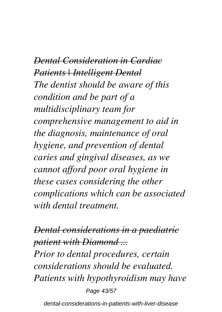*Dental Consideration in Cardiac Patients | Intelligent Dental The dentist should be aware of this condition and be part of a multidisciplinary team for comprehensive management to aid in the diagnosis, maintenance of oral hygiene, and prevention of dental caries and gingival diseases, as we cannot afford poor oral hygiene in these cases considering the other complications which can be associated with dental treatment.*

*Dental considerations in a paediatric patient with Diamond ... Prior to dental procedures, certain considerations should be evaluated. Patients with hypothyroidism may have* Page 43/57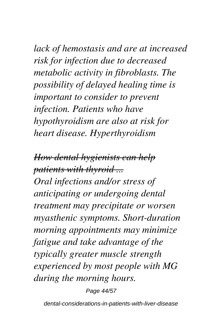*lack of hemostasis and are at increased risk for infection due to decreased metabolic activity in fibroblasts. The possibility of delayed healing time is important to consider to prevent infection. Patients who have hypothyroidism are also at risk for heart disease. Hyperthyroidism*

*How dental hygienists can help patients with thyroid ...*

*Oral infections and/or stress of anticipating or undergoing dental treatment may precipitate or worsen myasthenic symptoms. Short-duration morning appointments may minimize fatigue and take advantage of the typically greater muscle strength experienced by most people with MG during the morning hours.*

Page 44/57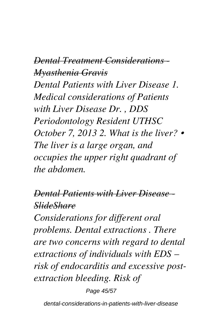#### *Dental Treatment Considerations - Myasthenia Gravis*

*Dental Patients with Liver Disease 1. Medical considerations of Patients with Liver Disease Dr. , DDS Periodontology Resident UTHSC October 7, 2013 2. What is the liver? • The liver is a large organ, and occupies the upper right quadrant of the abdomen.*

#### *Dental Patients with Liver Disease SlideShare*

*Considerations for different oral problems. Dental extractions . There are two concerns with regard to dental extractions of individuals with EDS – risk of endocarditis and excessive postextraction bleeding. Risk of*

Page 45/57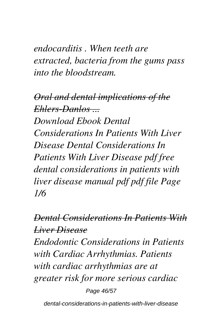*endocarditis . When teeth are extracted, bacteria from the gums pass into the bloodstream.*

*Oral and dental implications of the Ehlers-Danlos ... Download Ebook Dental Considerations In Patients With Liver Disease Dental Considerations In Patients With Liver Disease pdf free dental considerations in patients with liver disease manual pdf pdf file Page 1/6*

#### *Dental Considerations In Patients With Liver Disease*

*Endodontic Considerations in Patients with Cardiac Arrhythmias. Patients with cardiac arrhythmias are at greater risk for more serious cardiac*

Page 46/57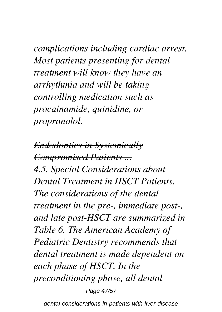*complications including cardiac arrest. Most patients presenting for dental treatment will know they have an arrhythmia and will be taking controlling medication such as procainamide, quinidine, or propranolol.*

*Endodontics in Systemically Compromised Patients ... 4.5. Special Considerations about Dental Treatment in HSCT Patients. The considerations of the dental treatment in the pre-, immediate post-, and late post-HSCT are summarized in Table 6. The American Academy of Pediatric Dentistry recommends that dental treatment is made dependent on each phase of HSCT. In the preconditioning phase, all dental* Page 47/57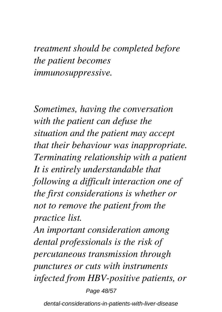*treatment should be completed before the patient becomes immunosuppressive.*

*Sometimes, having the conversation with the patient can defuse the situation and the patient may accept that their behaviour was inappropriate. Terminating relationship with a patient It is entirely understandable that following a difficult interaction one of the first considerations is whether or not to remove the patient from the practice list.*

*An important consideration among dental professionals is the risk of percutaneous transmission through punctures or cuts with instruments infected from HBV-positive patients, or*

Page 48/57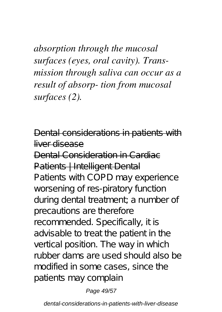*absorption through the mucosal surfaces (eyes, oral cavity). Transmission through saliva can occur as a result of absorp- tion from mucosal surfaces (2).*

Dental considerations in patients with liver disease Dental Consideration in Cardiac Patients | Intelligent Dental Patients with COPD may experience worsening of res-piratory function during dental treatment; a number of precautions are therefore recommended. Specifically, it is advisable to treat the patient in the vertical position. The way in which rubber dams are used should also be modified in some cases, since the patients may complain

Page 49/57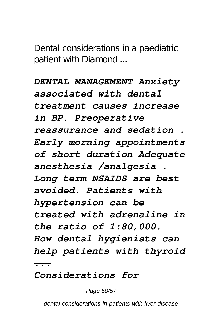Dental considerations in a paediatric patient with Diamond ...

*DENTAL MANAGEMENT Anxiety associated with dental treatment causes increase in BP. Preoperative reassurance and sedation . Early morning appointments of short duration Adequate anesthesia /analgesia . Long term NSAIDS are best avoided. Patients with hypertension can be treated with adrenaline in the ratio of 1:80,000. How dental hygienists can help patients with thyroid ...*

*Considerations for*

Page 50/57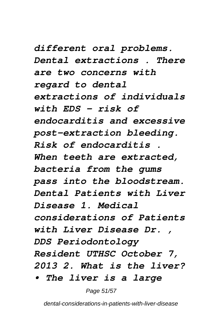*different oral problems. Dental extractions . There are two concerns with regard to dental extractions of individuals with EDS – risk of endocarditis and excessive post-extraction bleeding. Risk of endocarditis . When teeth are extracted, bacteria from the gums pass into the bloodstream. Dental Patients with Liver Disease 1. Medical considerations of Patients with Liver Disease Dr. , DDS Periodontology Resident UTHSC October 7, 2013 2. What is the liver?*

*• The liver is a large*

Page 51/57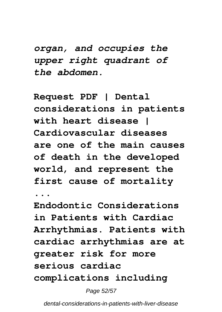*organ, and occupies the upper right quadrant of the abdomen.*

**Request PDF | Dental considerations in patients with heart disease | Cardiovascular diseases are one of the main causes of death in the developed world, and represent the first cause of mortality**

**...**

**Endodontic Considerations in Patients with Cardiac Arrhythmias. Patients with cardiac arrhythmias are at greater risk for more serious cardiac complications including**

Page 52/57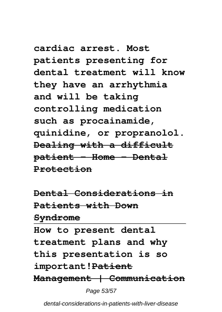**cardiac arrest. Most patients presenting for dental treatment will know they have an arrhythmia and will be taking controlling medication such as procainamide, quinidine, or propranolol. Dealing with a difficult patient - Home - Dental Protection**

**Dental Considerations in Patients with Down Syndrome How to present dental treatment plans and why this presentation is so important!Patient Management | Communication**

Page 53/57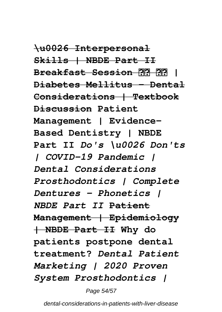**\u0026 Interpersonal Skills | NBDE Part II Breakfast Session | Diabetes Mellitus - Dental Considerations | Textbook Discussion Patient Management | Evidence-Based Dentistry | NBDE Part II** *Do's \u0026 Don'ts | COVID-19 Pandemic | Dental Considerations Prosthodontics | Complete Dentures - Phonetics | NBDE Part II* **Patient Management | Epidemiology | NBDE Part II Why do patients postpone dental treatment?** *Dental Patient Marketing | 2020 Proven System Prosthodontics |*

Page 54/57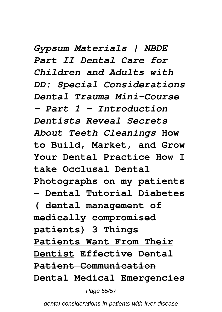*Gypsum Materials | NBDE Part II Dental Care for Children and Adults with DD: Special Considerations Dental Trauma Mini-Course - Part 1 - Introduction Dentists Reveal Secrets About Teeth Cleanings* **How to Build, Market, and Grow Your Dental Practice How I take Occlusal Dental Photographs on my patients - Dental Tutorial Diabetes ( dental management of medically compromised patients) 3 Things Patients Want From Their Dentist Effective Dental Patient Communication Dental Medical Emergencies**

Page 55/57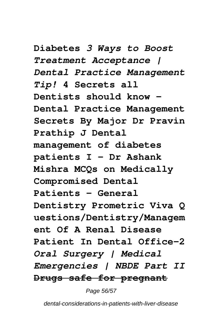**Diabetes** *3 Ways to Boost Treatment Acceptance | Dental Practice Management Tip!* **4 Secrets all Dentists should know - Dental Practice Management Secrets By Major Dr Pravin Prathip J Dental management of diabetes patients I - Dr Ashank Mishra MCQs on Medically Compromised Dental Patients - General Dentistry Prometric Viva Q uestions/Dentistry/Managem ent Of A Renal Disease Patient In Dental Office-2** *Oral Surgery | Medical Emergencies | NBDE Part II* **Drugs safe for pregnant**

Page 56/57